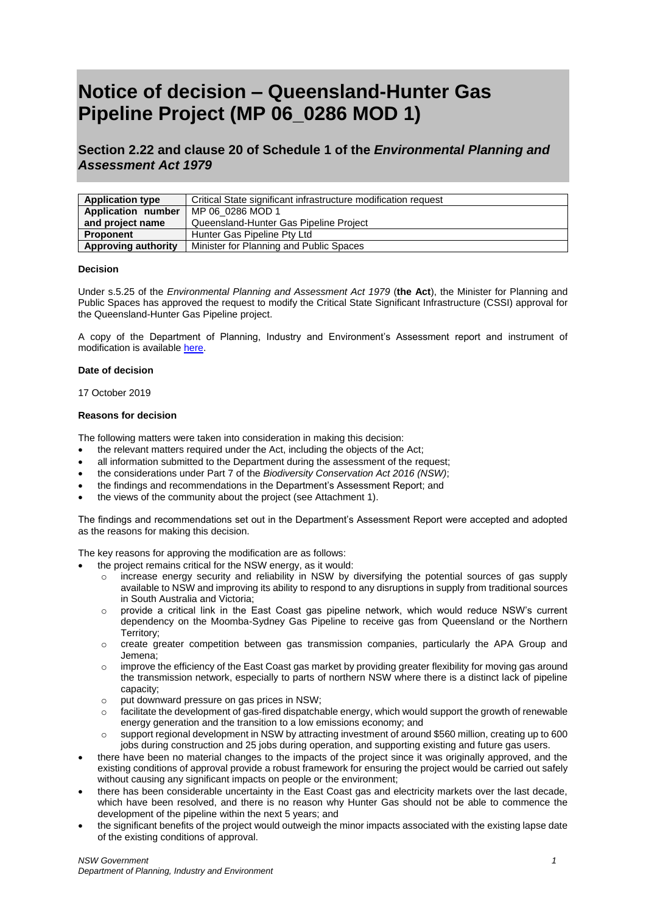# **Notice of decision – Queensland-Hunter Gas Pipeline Project (MP 06\_0286 MOD 1)**

**Section 2.22 and clause 20 of Schedule 1 of the** *Environmental Planning and Assessment Act 1979*

| <b>Application type</b> | Critical State significant infrastructure modification request |
|-------------------------|----------------------------------------------------------------|
| Application number      | MP 06 0286 MOD 1                                               |
| and project name        | Queensland-Hunter Gas Pipeline Project                         |
| <b>Proponent</b>        | Hunter Gas Pipeline Pty Ltd                                    |
| Approving authority     | Minister for Planning and Public Spaces                        |

## **Decision**

Under s.5.25 of the *Environmental Planning and Assessment Act 1979* (**the Act**), the Minister for Planning and Public Spaces has approved the request to modify the Critical State Significant Infrastructure (CSSI) approval for the Queensland-Hunter Gas Pipeline project.

A copy of the Department of Planning, Industry and Environment's Assessment report and instrument of modification is availabl[e here.](https://www.planningportal.nsw.gov.au/major-projects/project/25456)

## **Date of decision**

17 October 2019

## **Reasons for decision**

The following matters were taken into consideration in making this decision:

- the relevant matters required under the Act, including the objects of the Act;
- all information submitted to the Department during the assessment of the request;
- the considerations under Part 7 of the *Biodiversity Conservation Act 2016 (NSW)*;
- the findings and recommendations in the Department's Assessment Report; and
- the views of the community about the project (see Attachment 1).

The findings and recommendations set out in the Department's Assessment Report were accepted and adopted as the reasons for making this decision.

The key reasons for approving the modification are as follows:

- the project remains critical for the NSW energy, as it would:
	- $\circ$  increase energy security and reliability in NSW by diversifying the potential sources of gas supply available to NSW and improving its ability to respond to any disruptions in supply from traditional sources in South Australia and Victoria;
	- o provide a critical link in the East Coast gas pipeline network, which would reduce NSW's current dependency on the Moomba-Sydney Gas Pipeline to receive gas from Queensland or the Northern Territory;
	- o create greater competition between gas transmission companies, particularly the APA Group and Jemena;
	- improve the efficiency of the East Coast gas market by providing greater flexibility for moving gas around the transmission network, especially to parts of northern NSW where there is a distinct lack of pipeline capacity;
	- o put downward pressure on gas prices in NSW;
	- o facilitate the development of gas-fired dispatchable energy, which would support the growth of renewable energy generation and the transition to a low emissions economy; and
	- o support regional development in NSW by attracting investment of around \$560 million, creating up to 600 jobs during construction and 25 jobs during operation, and supporting existing and future gas users.
- there have been no material changes to the impacts of the project since it was originally approved, and the existing conditions of approval provide a robust framework for ensuring the project would be carried out safely without causing any significant impacts on people or the environment;
- there has been considerable uncertainty in the East Coast gas and electricity markets over the last decade, which have been resolved, and there is no reason why Hunter Gas should not be able to commence the development of the pipeline within the next 5 years; and
- the significant benefits of the project would outweigh the minor impacts associated with the existing lapse date of the existing conditions of approval.